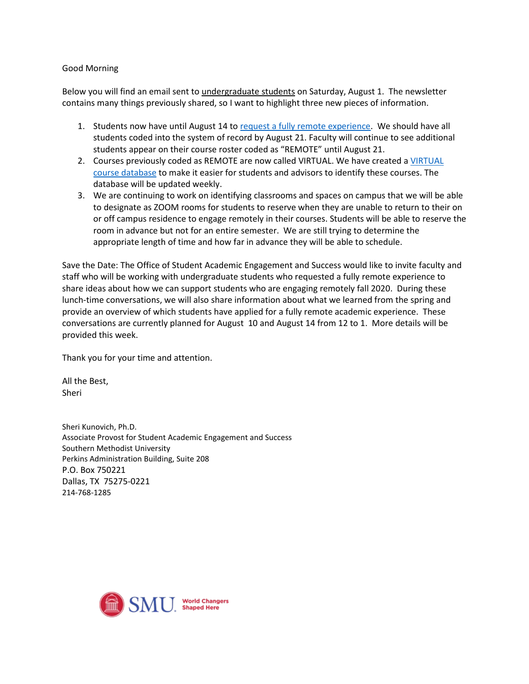#### Good Morning

Below you will find an email sent to undergraduate students on Saturday, August 1. The newsletter contains many things previously shared, so I want to highlight three new pieces of information.

- 1. Students now have until August 14 to [request a fully remote experience.](https://www.smu.edu/Provost/ProvostOffice/SAES/Updates-for-Fall-2020/VirtualCourses) We should have all students coded into the system of record by August 21. Faculty will continue to see additional students appear on their course roster coded as "REMOTE" until August 21.
- 2. Courses previously coded as REMOTE are now called VIRTUAL. We have created a VIRTUAL [course database](https://www.smu.edu/Provost/ProvostOffice/SAES/Updates-for-Fall-2020/VirtualCourses) to make it easier for students and advisors to identify these courses. The database will be updated weekly.
- 3. We are continuing to work on identifying classrooms and spaces on campus that we will be able to designate as ZOOM rooms for students to reserve when they are unable to return to their on or off campus residence to engage remotely in their courses. Students will be able to reserve the room in advance but not for an entire semester. We are still trying to determine the appropriate length of time and how far in advance they will be able to schedule.

Save the Date: The Office of Student Academic Engagement and Success would like to invite faculty and staff who will be working with undergraduate students who requested a fully remote experience to share ideas about how we can support students who are engaging remotely fall 2020. During these lunch-time conversations, we will also share information about what we learned from the spring and provide an overview of which students have applied for a fully remote academic experience. These conversations are currently planned for August 10 and August 14 from 12 to 1. More details will be provided this week.

Thank you for your time and attention.

All the Best, Sheri

Sheri Kunovich, Ph.D. Associate Provost for Student Academic Engagement and Success Southern Methodist University Perkins Administration Building, Suite 208 P.O. Box 750221 Dallas, TX 75275-0221 214-768-1285

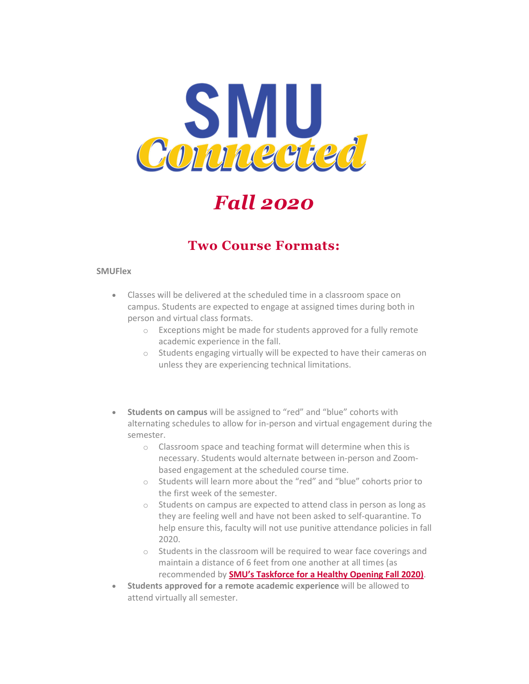

*Fall 2020*

### **Two Course Formats:**

#### **SMUFlex**

- Classes will be delivered at the scheduled time in a classroom space on campus. Students are expected to engage at assigned times during both in person and virtual class formats.
	- o Exceptions might be made for students approved for a fully remote academic experience in the fall.
	- o Students engaging virtually will be expected to have their cameras on unless they are experiencing technical limitations.
- **Students on campus** will be assigned to "red" and "blue" cohorts with alternating schedules to allow for in-person and virtual engagement during the semester.
	- o Classroom space and teaching format will determine when this is necessary. Students would alternate between in-person and Zoombased engagement at the scheduled course time.
	- o Students will learn more about the "red" and "blue" cohorts prior to the first week of the semester.
	- o Students on campus are expected to attend class in person as long as they are feeling well and have not been asked to self-quarantine. To help ensure this, faculty will not use punitive attendance policies in fall 2020.
	- o Students in the classroom will be required to wear face coverings and maintain a distance of 6 feet from one another at all times (as recommended by **[SMU's Taskforce for a Healthy Opening Fall 2020\)](https://blog.smu.edu/coronavirus-covid-19/2020/04/27/presidents-task-force-for-a-healthy-opening-fall-2020/?utm_source=email&utm_medium=taskforce-link&utm_campaign=smuconnected07302020)**.
- **Students approved for a remote academic experience** will be allowed to attend virtually all semester.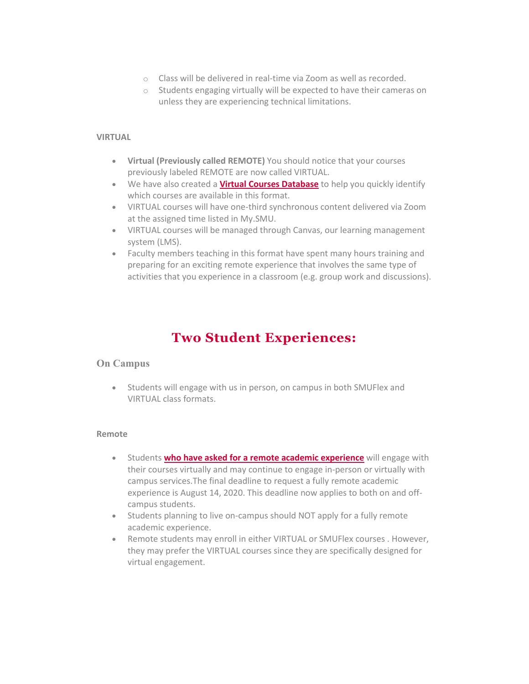- o Class will be delivered in real-time via Zoom as well as recorded.
- o Students engaging virtually will be expected to have their cameras on unless they are experiencing technical limitations.

#### **VIRTUAL**

- **Virtual (Previously called REMOTE)** You should notice that your courses previously labeled REMOTE are now called VIRTUAL.
- We have also created a **[Virtual Courses Database](https://www.smu.edu/Provost/ProvostOffice/SAES/Updates-for-Fall-2020/VirtualCourses?utm_source=email&utm_medium=database-link&utm_campaign=smuconnected07302020)** to help you quickly identify which courses are available in this format.
- VIRTUAL courses will have one-third synchronous content delivered via Zoom at the assigned time listed in My.SMU.
- VIRTUAL courses will be managed through Canvas, our learning management system (LMS).
- Faculty members teaching in this format have spent many hours training and preparing for an exciting remote experience that involves the same type of activities that you experience in a classroom (e.g. group work and discussions).

### **Two Student Experiences:**

#### **On Campus**

• Students will engage with us in person, on campus in both SMUFlex and VIRTUAL class formats.

#### **Remote**

- Students **[who have asked for a remote academic experience](https://www.smu.edu/Provost/ProvostOffice/SAES/Updates-for-Fall-2020?utm_source=email&utm_medium=fully-virtual-link&utm_campaign=smuconnected07302020)** will engage with their courses virtually and may continue to engage in-person or virtually with campus services.The final deadline to request a fully remote academic experience is August 14, 2020. This deadline now applies to both on and offcampus students.
- Students planning to live on-campus should NOT apply for a fully remote academic experience.
- Remote students may enroll in either VIRTUAL or SMUFlex courses . However, they may prefer the VIRTUAL courses since they are specifically designed for virtual engagement.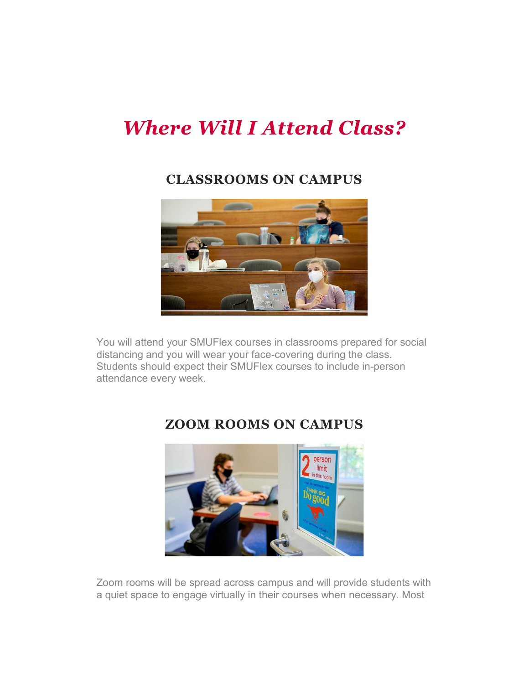# *Where Will I Attend Class?*

### **CLASSROOMS ON CAMPUS**



You will attend your SMUFlex courses in classrooms prepared for social distancing and you will wear your face-covering during the class. Students should expect their SMUFlex courses to include in-person attendance every week.



## **ZOOM ROOMS ON CAMPUS**

Zoom rooms will be spread across campus and will provide students with a quiet space to engage virtually in their courses when necessary. Most